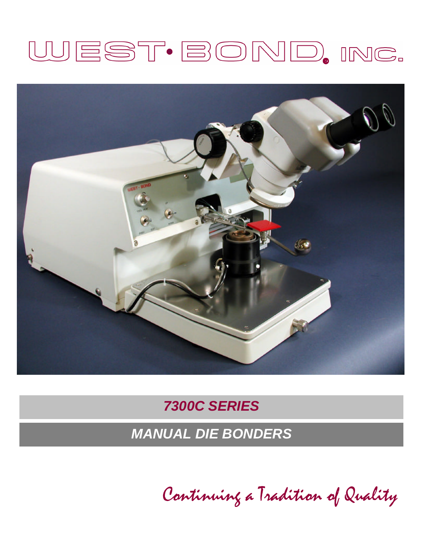# WEST·BOND, INC.



# *7300C SERIES*

*MANUAL DIE BONDERS*

*Continuing a Tradition of Quality*